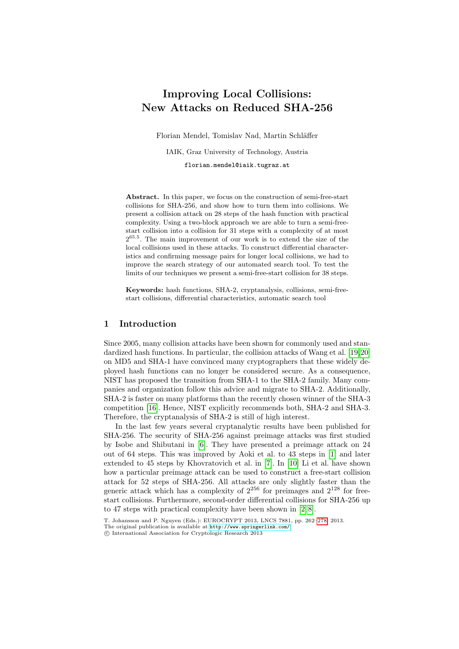# Improving Local Collisions: New Attacks on Reduced SHA-256

Florian Mendel, Tomislav Nad, Martin Schläffer

IAIK, Graz University of Technology, Austria florian.mendel@iaik.tugraz.at

Abstract. In this paper, we focus on the construction of semi-free-start collisions for SHA-256, and show how to turn them into collisions. We present a collision attack on 28 steps of the hash function with practical complexity. Using a two-block approach we are able to turn a semi-freestart collision into a collision for 31 steps with a complexity of at most 2 65.5 . The main improvement of our work is to extend the size of the local collisions used in these attacks. To construct differential characteristics and confirming message pairs for longer local collisions, we had to improve the search strategy of our automated search tool. To test the limits of our techniques we present a semi-free-start collision for 38 steps.

Keywords: hash functions, SHA-2, cryptanalysis, collisions, semi-freestart collisions, differential characteristics, auto[matic](#page-15-0) [sea](#page-15-1)rch tool

# 1 Introduction

Since 2005, many collision attacks have been shown for commonly used and standardized hash functions. In particular, the collision attacks of Wang et al. [19,20] on MD5 and SHA-1 have convinced many cryptographers that these widely deployed hash functions can no longer be considered secure. As a consequence, NIST has proposed the transition from SHA-1 to the SHA-2 family. Many companies [an](#page-14-0)d organization follow this advice and migrate to SHA-2. Additionally, SHA-2 is faster on many platforms than the re[cen](#page-14-1)tly chosen winner of the SHA-3 competition [16]. Hence, N[IS](#page-15-2)T ex[plic](#page-15-3)itly recommends both, SHA-2 and SHA-3. Therefore, the cryptanalysis of SHA-2 is still of high interest.

In the last few years several cryptanalytic results have been published for SHA-256. The security of SHA-256 against preimage attacks was first studied by Isobe and Shibutani in [6]. They have presented a preimage attack on 24 out of 64 steps. This was improved [by](#page-14-2) [A](#page-15-4)oki et al. to 43 steps in [1] and later extended to 45 steps by Khovratovich et al. in [7]. In [10] Li et al. have shown how a par[ticular preimage attack c](http://www.springerlink.com/)an be [used](#page-16-0) to construct a free-start collision attack for 52 steps of SHA-256. All attacks are only slightly faster than the generic attack which has a complexity of  $2^{256}$  for preimages and  $2^{128}$  for freestart collisions. Furthermore, second-order differential collisions for SHA-256 up to 47 steps with practical complexity have been shown in [2, 8].

T. Johansson and P. Nguyen (Eds.): EUROCRYPT 2013, LNCS 7881, pp. 262–278, 2013. The original publication is available at http://www.springerlink.com/

c International Association for Cryptologic Research 2013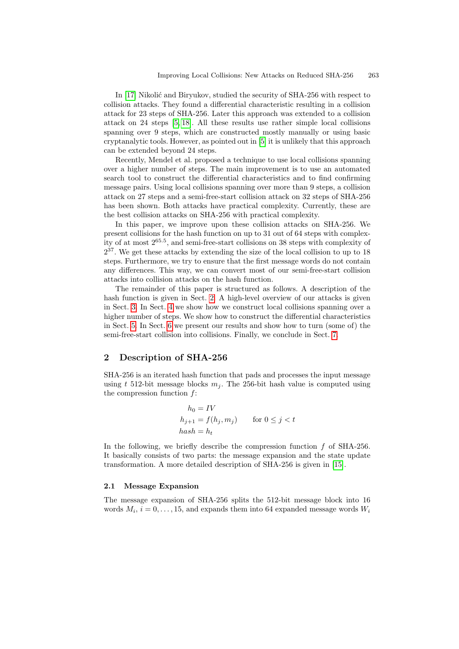In [17] Nikolić and Bi[ryu](#page-14-3)kov, studied the security of SHA-256 with respect to collision attacks. They found a differential characteristic resulting in a collision attack for 23 steps of SHA-256. Later this approach was extended to a collision attack on 24 steps [5, 18]. All these results use rather simple local collisions spanning over 9 steps, which are constructed mostly manually or using basic cryptanalytic tools. However, as pointed out in [5] it is unlikely that this approach can be extended beyond 24 steps.

Recently, Mendel et al. proposed a technique to use local collisions spanning over a higher number of steps. The main improvement is to use an automated search tool to construct the differential characteristics and to find confirming message pairs. Using local collisions spanning over more than 9 steps, a collision attack on 27 steps and a semi-free-start collision attack on 32 steps of SHA-256 has been shown. Both attacks have practical complexity. Currently, these are the best collision attacks on SHA-256 with practical complexity.

In this paper, we improve upon these collision attacks on SHA-256. We present collisions for the hash function on up to 31 out of 64 steps with complexity of at [mos](#page-1-0)t 265.<sup>5</sup> , and semi-free-start collisions on 38 steps with complexity of 2 <sup>37</sup>. We get these attacks by extending the size of the local collision to up to 18 steps. Furthermore, we try to ensure that the first message words do not contain any differences. This way, we can convert most of our semi-free-start collision attacks into collision attacks on the hash func[tio](#page-14-4)n.

<span id="page-1-0"></span>The remainder of this paper is structured as follows. A description of the hash function is given in Sect. 2. A high-level overview of our attacks is given in Sect. 3. In Sect. 4 we show how we construct local collisions spanning over a higher number of steps. We show how to construct the differential characteristics in Sect. 5. In Sect. 6 we present our results and show how to turn (some of) the semi-free-start collision into collisions. Finally, we conclude in Sect. 7.

# 2 Description of SHA-256

SHA-256 is an iterated hash function that pads and processes the input message using t 512-bit message blocks  $m_i$ . The 256-bit hash value is computed using the compression function f:

$$
h_0 = IV
$$
  
\n
$$
h_{j+1} = f(h_j, m_j) \quad \text{for } 0 \le j < t
$$
  
\n
$$
hash = h_t
$$

In the following, we briefly describe the compression function  $f$  of SHA-256. It basically consists of two parts: the message expansion and the state update transformation. A more detailed description of SHA-256 is given in [15].

#### 2.1 Message Expansion

The message expansion of SHA-256 splits the 512-bit message block into 16 words  $M_i$ ,  $i = 0, \ldots, 15$ , and expands them into 64 expanded message words  $W_i$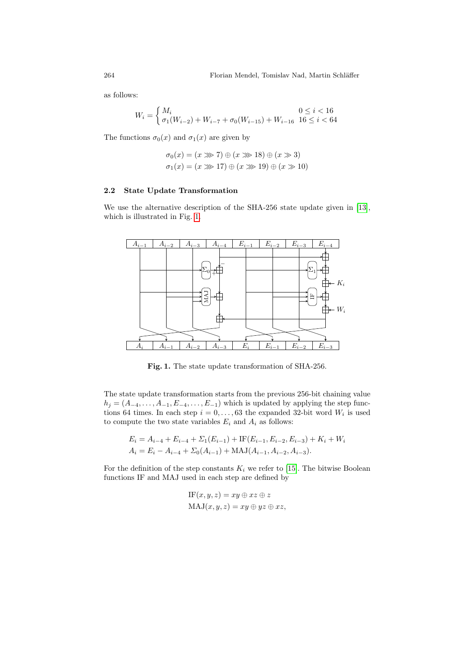as follows:

$$
W_i = \begin{cases} M_i & 0 \le i < 16\\ \sigma_1(W_{i-2}) + W_{i-7} + \sigma_0(W_{i-15}) + W_{i-16} & 16 \le i < 64 \end{cases}
$$

The functions  $\sigma_0(x)$  and  $\sigma_1(x)$  are given by

$$
\sigma_0(x) = (x \gg 7) \oplus (x \gg 18) \oplus (x \gg 3)
$$
  

$$
\sigma_1(x) = (x \gg 17) \oplus (x \gg 19) \oplus (x \gg 10)
$$

#### 2.2 State Update Transformation

We use the alternative description of the SHA-256 state update given in [13], which is illustrated in Fig. 1.



Fig. 1. The state update transformation of SHA-256.

The state update transformation starts from the previous 256-bit chaining value  $h_j = (A_{-4}, \ldots, A_{-1}, E_{-4}, \ldots, E_{-1})$  which is updated by applying the step functions 64 times. In each step  $i = 0, \ldots, 63$  the expanded 32-bit word  $W_i$  is used to compute the two state variables  $E_i$  and  $A_i$  as follows:

$$
E_i = A_{i-4} + E_{i-4} + \Sigma_1(E_{i-1}) + \text{IF}(E_{i-1}, E_{i-2}, E_{i-3}) + K_i + W_i
$$
  

$$
A_i = E_i - A_{i-4} + \Sigma_0(A_{i-1}) + \text{MAJ}(A_{i-1}, A_{i-2}, A_{i-3}).
$$

For the definition of the step constants  $K_i$  we refer to [15]. The bitwise Boolean functions IF and MAJ used in each step are defined by

$$
IF(x, y, z) = xy \oplus xz \oplus z
$$
  

$$
MAJ(x, y, z) = xy \oplus yz \oplus xz,
$$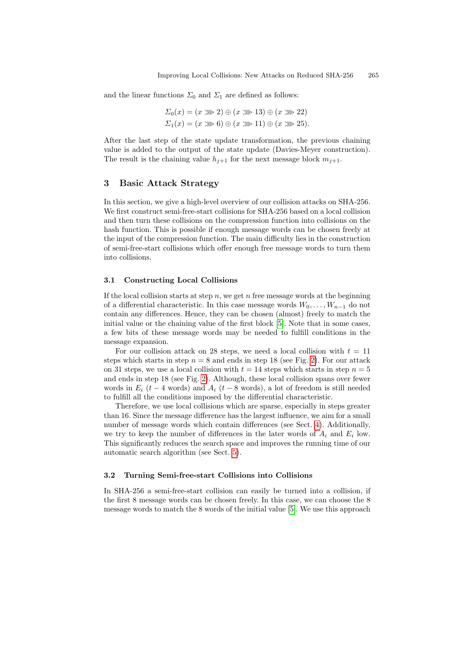and the linear functions  $\Sigma_0$  and  $\Sigma_1$  are defined as follows:

$$
\Sigma_0(x) = (x \gg 2) \oplus (x \gg 13) \oplus (x \gg 22)
$$
  

$$
\Sigma_1(x) = (x \gg 6) \oplus (x \gg 11) \oplus (x \gg 25).
$$

<span id="page-3-0"></span>After the last step of the state update transformation, the previous chaining value is added to the output of the state update (Davies-Meyer construction). The result is the chaining value  $h_{i+1}$  for the next message block  $m_{i+1}$ .

# 3 Basic Attack Strategy

In this section, we give a high-level overview of our collision attacks on SHA-256. We first construct semi-free-start collisions for SHA-256 based on a local collision and then turn these collisions on the compression function into collisions on the hash function. This is possible if enough message words can be chosen freely at the input of the compression function. The main difficulty lies in the construction of semi-free-start collisions which offer enough free message words to turn them into collisions.

#### 3.1 Constructing Local Collisions

If the local collision starts at step  $n$ , we get  $n$  free message words at the beginning of a differential characteristic. In this ca[se](#page-4-0) message words  $W_0, \ldots, W_{n-1}$  do not contain any differences. Hence, they can be chosen (almost) freely to match the initial v[alu](#page-4-0)e or the chaining value of the first block [5]. Note that in some cases, a few bits of these message words may be needed to fulfill conditions in the message expansion.

For our collision attack on 28 steps, we need a local collision with  $t = 11$ steps which starts in step  $n = 8$  and ends in step 18 (see Fig. 2). For our attack on 31 steps, we use a local collision with  $t = 14$  $t = 14$  $t = 14$  steps which starts in step  $n = 5$ and ends in step 18 (see Fig. 2). Although, these local collision spans over fewer words in  $E_i$  (t − 4 words) and  $A_i$  (t − 8 words), a lot of freedom is still needed to fulfill all the c[on](#page-8-0)ditions imposed by the differential characteristic.

Therefore, we use local collisions which are sparse, especially in steps greater than 16. Since the message difference has the largest influence, we aim for a small number of message words which contain differences (see Sect. 4). Additionally, we try to keep the number of differences in the later words of  $A_i$  and  $E_i$  low. This significantly reduces the search space and improves the running time of our automatic search algorithm (see S[ec](#page-14-3)t. 5).

#### 3.2 Turning Semi-free-start Collisions into Collisions

In SHA-256 a semi-free-start collision can easily be turned into a collision, if the first 8 message words can be chosen freely. In this case, we can choose the 8 message words to match the 8 words of the initial value [5]. We use this approach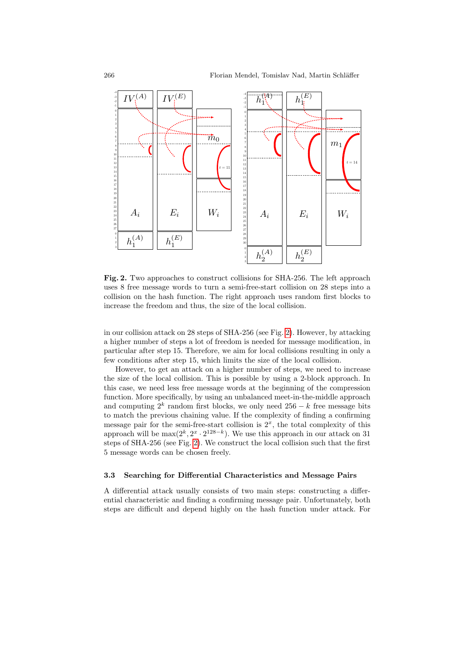

<span id="page-4-0"></span>Fig. 2. Two approaches to const[ru](#page-4-0)ct collisions for SHA-256. The left approach uses 8 free message words to turn a semi-free-start collision on 28 steps into a collision on the hash function. The right approach uses random first blocks to increase the freedom and thus, the size of the local collision.

in our collision attack on 28 steps of SHA-256 (see Fig. 2). However, by attacking a higher number of steps a lot of freedom is needed for message modification, in particular after step 15. Therefore, we aim for local collisions resulting in only a few conditions after step 15, which limits the size of the local collision.

However, to get an attack on a higher number of steps, we need to increase the size of the local collision. This is possible by using a 2-block approach. In this [cas](#page-4-0)e, we need less free message words at the beginning of the compression function. More specifically, by using an unbalanced meet-in-the-middle approach and computing  $2^k$  random first blocks, we only need  $256 - k$  free message bits to match the previous chaining value. If the complexity of finding a confirming message pair for the semi-free-start collision is  $2<sup>x</sup>$ , the total complexity of this approach will be  $\max(2^k, 2^x \cdot 2^{128-k})$ . We use this approach in our attack on 31 steps of SHA-256 (see Fig. 2). We construct the local collision such that the first 5 message words can be chosen freely.

### 3.3 Searching for Differential Characteristics and Message Pairs

A differential attack usually consists of two main steps: constructing a differential characteristic and finding a confirming message pair. Unfortunately, both steps are difficult and depend highly on the hash function under attack. For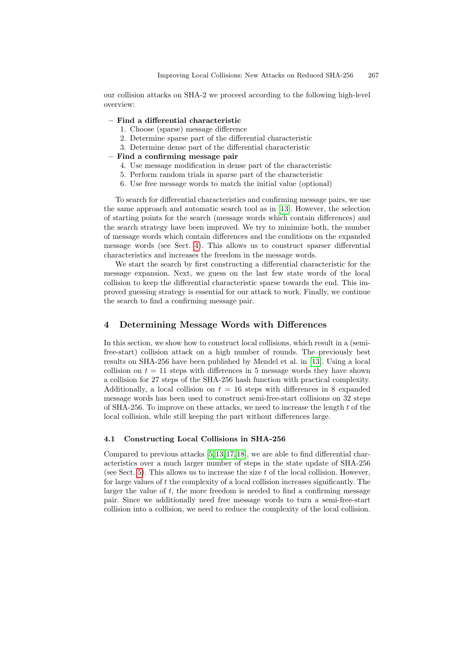our collision attacks on SHA-2 we proceed according to the following high-level overview:

- Find a differential characteristic
	- 1. Choose (sparse) message difference
	- 2. Determine sparse part of the differential characteristic
	- 3. Determine dense part of the differential characteristic
- Find a confirming mess[age](#page-15-6) pair
	- 4. Use message modification in dense part of the characteristic
	- 5. Perform random trials in sparse part of the characteristic
	- 6. Use free message words to match the initial value (optional)

T[o s](#page-5-0)earch for differential characteristics and confirming message pairs, we use the same approach and automatic search tool as in [13]. However, the selection of starting points for the search (message words which contain differences) and the search strategy have been improved. We try to minimize both, the number of message words which contain differences and the conditions on the expanded message words (see Sect. 4). This allows us to construct sparser differential characteristics and increases the freedom in the message words.

<span id="page-5-0"></span>We start the search by first constructing a differential characteristic for the message expansion. Next, we guess on the last few state words of the local collision to keep the differential characteristic sparse towards the end. This improved guessing strategy is essential for our attack to work. Finally, we continue the search to find a confirming message [pair](#page-15-6).

# 4 Determining Message Words with Differences

In this section, we show how to construct local collisions, which result in a (semifree-start) collision attack on a high number of rounds. The previously best results on SHA-256 have been published by Mendel et al. in [13]. Using a local collision on  $t = 11$  steps with differences in 5 message words they have shown a collision for 27 steps of the SHA-256 hash function with practical complexity. Additionally, a local collision on  $t = 16$  steps with differences in 8 expanded message [wo](#page-14-3)[rds](#page-15-6) [ha](#page-15-7)[s be](#page-15-8)en used to construct semi-free-start collisions on 32 steps of SHA-256. To improve on these attacks, we need to increase the length t of the local collision, while still keeping the part without differences large.

#### 4.1 Constructing Local Collisions in SHA-256

Compared to previous attacks [5, 13, 17, 18], we are able to find differential characteristics over a much larger number of steps in the state update of SHA-256 (see Sect. 5). This allows us to increase the size  $t$  of the local collision. However, for large values of t the complexity of a local collision increases significantly. The larger the value of t, the more freedom is needed to find a confirming message pair. Since we additionally need free message words to turn a semi-free-start collision into a collision, we need to reduce the complexity of the local collision.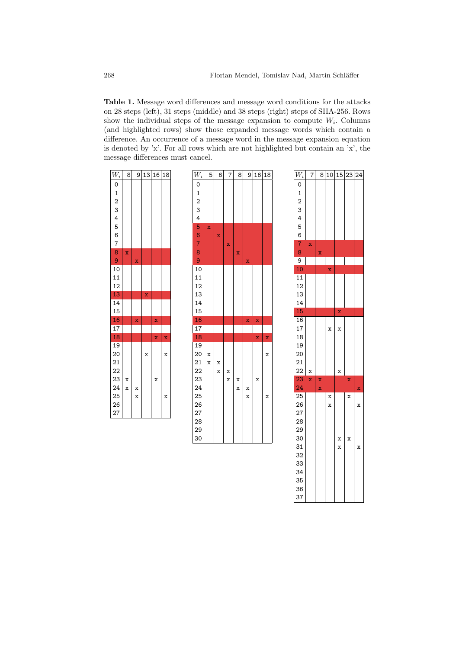<span id="page-6-0"></span>Table 1. Message word differences and message word conditions for the attacks on 28 steps (left), 31 steps (middle) and 38 steps (right) steps of SHA-256. Rows show the individual steps of the message expansion to compute  $W_i$ . Columns (and highlighted rows) show those expanded message words which contain a difference. An occurrence of a message word in the message expansion equation is denoted by 'x'. For all rows which are not highlighted but contain an  $x$ ', the message differences must cancel.





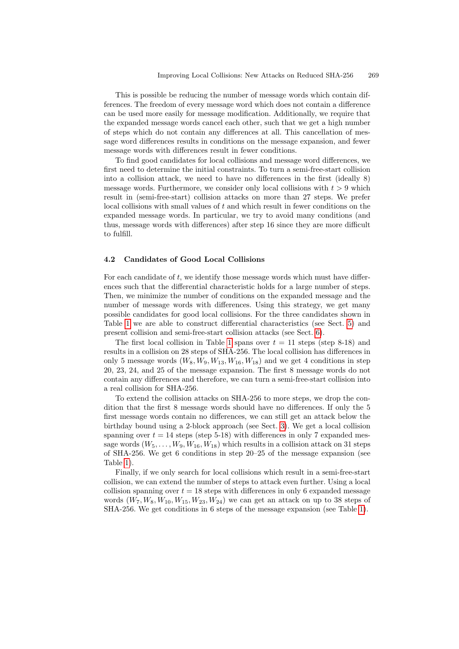This is possible be reducing the number of message words which contain differences. The freedom of every message word which does not contain a difference can be used more easily for message modification. Additionally, we require that the expanded message words cancel each other, such that we get a high number of steps which do not contain any differences at all. This cancellation of message word differences results in conditions on the message expansion, and fewer message words with differences result in fewer conditions.

To find good candidates for local collisions and message word differences, we first need to determine the initial constraints. To turn a semi-free-start collision into a collision attack, we need to have no differences in the first (ideally 8) message words. Furthermore, we consider only local collisions with  $t > 9$  which result in (semi-free-start) collision attacks on more than 27 steps. We prefer  $local collisions with small values of  $t$  and which result in fewer conditions on the$ expanded message words. In particular, we try to avoid many conditions (and thus, message words with differences) after step 16 since they are more difficult to fulfill.

### 4.2 Candidates of Good Local Collisions

For each candidate of t, we identify those [me](#page-10-0)ssage [wor](#page-8-0)ds which must have differences such that [t](#page-6-0)he differential characteristic holds for a large number of steps. Then, we minimize the number of conditions on the expanded message and the number of message words with differences. Using this strategy, we get many possible candidates for good local collisions. For the three candidates shown in Table 1 we are able to construct differential characteristics (see Sect. 5) and present collision and semi-free-start collision attacks (see Sect. 6).

The first local collision in Table 1 spans over  $t = 11$  steps (step 8-18) and results in a collision on 28 steps of SHA-256. The local collision has differences in only 5 message words  $(W_8, W_9, W_{13}, W_{16}, W_{18})$  and we get 4 conditions in step 20, 23, 24, and 25 of the mess[age](#page-3-0) expansion. The first 8 message words do not contain any differences and therefore, we can turn a semi-free-start collision into a real collision for SHA-256.

To extend the collision attacks on SHA-256 to more steps, we drop the condition that the first 8 message words should have no differences. If only the 5 first message words contain no differences, we can still get an attack below the birthday bound using a 2-block approach (see Sect. 3). We get a local collision spanning over  $t = 14$  steps (step 5-18) with differences in only 7 expanded message words  $(W_5, \ldots, W_9, W_{16}, W_{18})$  which results in a collision attack on 31 steps of SHA-256. We get 6 conditions in step 20–25 of th[e m](#page-6-0)essage expansion (see Table 1).

Finally, if we only search for local collisions which result in a semi-free-start collision, we can extend the number of steps to attack even further. Using a local collision spanning over  $t = 18$  steps with differences in only 6 expanded message words  $(W_7, W_8, W_{10}, W_{15}, W_{23}, W_{24})$  we can get an attack on up to 38 steps of SHA-256. We get conditions in 6 steps of the message expansion (see Table 1).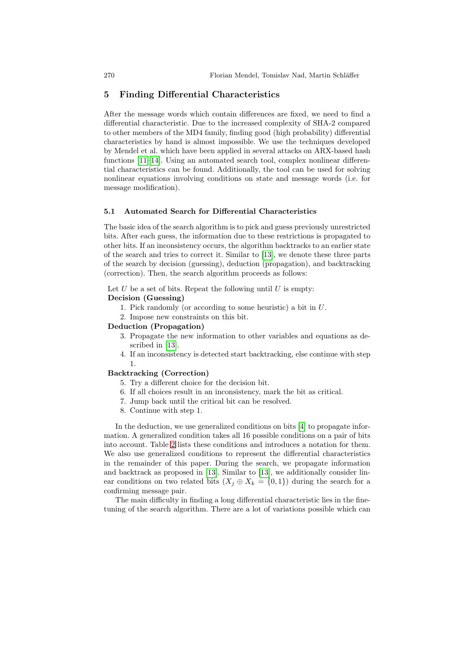# 5 Finding Differential Characteristics

After the message words which contain differences are fixed, we need to find a differential characteristic. Due to the increased complexity of SHA-2 compared to other members of the MD4 family, finding good (high probability) differential characteristics by hand is almost impossible. We use the techniques developed by Mendel et al. which have been applied in several attacks on ARX-based hash functions [11–14]. Using an automated search tool, complex nonlinear differential characteristics can be found. Additionally, the tool can be used for solving nonlinear equations involving conditions on state and message words (i.e. for message modification).

#### 5.1 Automated Search for Differential Characteristics

The basic idea of the search algorithm is to pick and guess previously unrestricted bits. After each guess, the information due to these restrictions is propagated to other bits. If an inconsistency occurs, the algorithm backtracks to an earlier state of the search and tries to correct it. Similar to [13], we denote these three parts of the search by decision (guessing), deduction (propagation), and backtracking (correction). Then, the search algorithm proceeds as follows:

Let  $U$  be a set of bits. Repeat the following until  $U$  is empty: Decision (Guessing)

- - 1. Pick randomly (or according to some heuristic) a bit in U.
	- 2. Impose new constraints on this bit.

## Deduction (Propagation)

- 3. Propagate the new information to other variables and equations as described in [13].
- 4. If an inconsistency is detected start backtracking, else continue with step 1.

#### Backtracking (Correction)

- 5. Try a different choice for the decision bit.
- 6. If all choices result in an inconsistency, mark the bit as critical.
- 7. Jump back until the critical bit can be resolved.
- 8. Continue with step 1.

In the [ded](#page-15-6)uction, we [use g](#page-15-6)eneralized conditions on bits [4] to propagate information. A generalized condition takes all 16 possible conditions on a pair of bits into account. Table 2 lists these conditions and introduces a notation for them. We also use generalized conditions to represent the differential characteristics in the remainder of this paper. During the search, we propagate information and backtrack as proposed in [13]. Similar to [13], we additionally consider linear conditions on two related bits  $(X_j \oplus X_k = \{0,1\})$  during the search for a confirming message pair.

The main difficulty in finding a long differential characteristic lies in the finetuning of the search algorithm. There are a lot of variations possible which can

<span id="page-8-0"></span>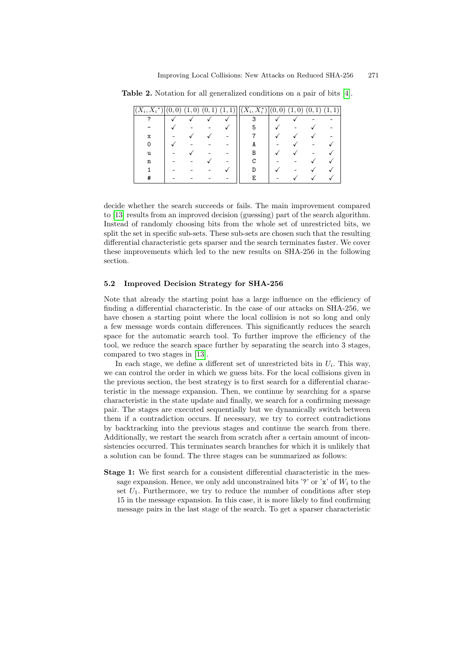| $(X_i,\overline{X_i}^*)$ | $\sqrt{0}$ ,<br>$\left( 0\right)$ | (1,0) | (0, 1) | 1)<br><b>L</b> | $(X_i, X_i^*) 0,$ | $\left( 0\right)$ | $\overline{0}$<br>1. | 1<br>(0, |  |
|--------------------------|-----------------------------------|-------|--------|----------------|-------------------|-------------------|----------------------|----------|--|
|                          |                                   |       |        |                | ິ                 |                   |                      |          |  |
|                          |                                   |       |        |                |                   |                   |                      |          |  |
| х                        |                                   |       |        |                |                   |                   |                      |          |  |
|                          |                                   |       |        |                | A                 |                   |                      |          |  |
| u                        |                                   |       |        |                |                   |                   |                      |          |  |
| n                        |                                   |       |        |                |                   |                   |                      |          |  |
|                          |                                   |       |        |                |                   |                   |                      |          |  |
|                          |                                   |       |        |                | F                 |                   |                      |          |  |

Table 2. Notation for all generalized conditions on a pair of bits [4].

decide whether the search succeeds or fails. The main improvement compared to [13] results from an improved decision (guessing) part of the search algorithm. Instead of randomly choosing bits from the whole set of unrestricted bits, we split the set in specific sub-sets. These sub-sets are chosen such that the resulting differential characteristic gets sparser and the search terminates faster. We cover these improvements which led to the new results on SHA-256 in the following section.

#### 5.2 Improved Decision Strategy for SHA-256

Note [tha](#page-15-6)t already the starting point has a large influence on the efficiency of finding a differential characteristic. In the case of our attacks on SHA-256, we have chosen a starting point where the local collision is not so long and only a few message words contain differences. This significantly reduces the search space for the automatic search tool. To further improve the efficiency of the tool, we reduce the search space further by separating the search into 3 stages, compared to two stages in [13].

In each stage, we define a different set of unrestricted bits in  $U_i$ . This way, we can control the order in which we guess bits. For the local collisions given in the previous section, the best strategy is to first search for a differential characteristic in the message expansion. Then, we continue by searching for a sparse characteristic in the state update and finally, we search for a confirming message pair. The stages are executed sequentially but we dynamically switch between them if a contradiction occurs. If necessary, we try to correct contradictions by backtracking into the previous stages and continue the search from there. Additionally, we restart the search from scratch after a certain amount of inconsistencies occurred. This terminates search branches for which it is unlikely that a solution can be found. The three stages can be summarized as follows:

Stage 1: We first search for a consistent differential characteristic in the message expansion. Hence, we only add unconstrained bits '?' or 'x' of  $W_i$  to the set  $U_1$ . Furthermore, we try to reduce the number of conditions after step 15 in the message expansion. In this case, it is more likely to find confirming message pairs in the last stage of the search. To get a sparser characteristic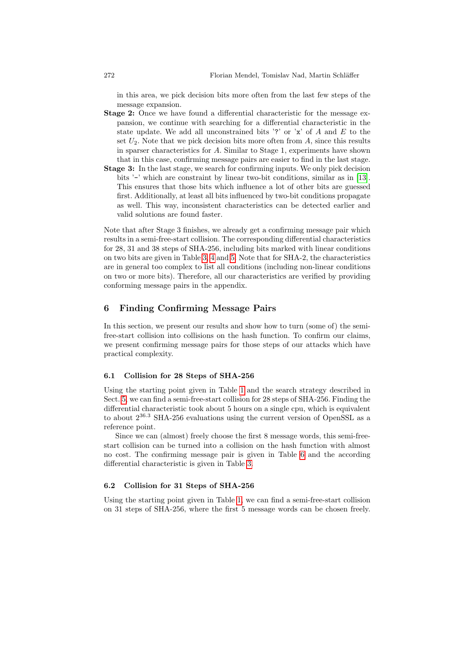in this area, we pick decision bits more often from the last few steps of the message expansion.

- Stage 2: Once we have found a differential characteristic for the message expansion, we continue with searching for a differe[ntia](#page-15-6)l characteristic in the state update. We add all unconstrained bits '?' or 'x' of A and E to the set  $U_2$ . Note that we pick decision bits more often from A, since this results in sparser characteristics for A. Similar to Stage 1, experiments have shown that in this case, confirming message pairs are easier to find in the last stage.
- Stage 3: In the last stage, we search for confirming inputs. We only pick decision bits '-' which are constraint by linear two-bit conditions, similar as in [13]. This ensures that those bits which influence a lot of other bits are guessed first. Additionally, at least all bits influenced by two-bit conditions propagate as [wel](#page-11-0)[l.](#page-12-0) Thi[s w](#page-13-0)ay, inconsistent characteristics can be detected earlier and valid solutions are found faster.

<span id="page-10-0"></span>Note that after Stage 3 finishes, we already get a confirming message pair which results in a semi-free-start collision. The corresponding differential characteristics for 28, 31 and 38 steps of SHA-256, including bits marked with linear conditions on two bits are given in Table 3, 4 and 5. Note that for SHA-2, the characteristics are in general too complex to list all conditions (including non-linear conditions on two or more bits). Therefore, all our characteristics are verified by providing conforming message pairs in the appendix.

# 6 Finding Confirming Message Pairs

In this section, we present our results and show how to turn (some of) the semifree-start collision [int](#page-6-0)o collisions on the hash function. To confirm our claims, we present confirming message pairs for those steps of our attacks which have practical complexity.

#### 6.1 Collision for 28 Steps of SHA-256

Using the starting point given in Table 1 and the search strategy described in Sect. 5, we can find a semi-free-start c[oll](#page-16-1)ision for 28 steps of SHA-256. Finding the differential characteri[sti](#page-11-0)c took about 5 hours on a single cpu, which is equivalent to about 2<sup>36</sup>.<sup>3</sup> SHA-256 evaluations using the current version of OpenSSL as a reference point.

Since we can (almost) freely choose the first 8 message words, this semi-freestart collision can [b](#page-6-0)e turned into a collision on the hash function with almost no cost. The confirming message pair is given in Table 6 and the according differential characteristic is given in Table 3.

### 6.2 Collision for 31 Steps of SHA-256

Using the starting point given in Table 1, we can find a semi-free-start collision on 31 steps of SHA-256, where the first 5 message words can be chosen freely.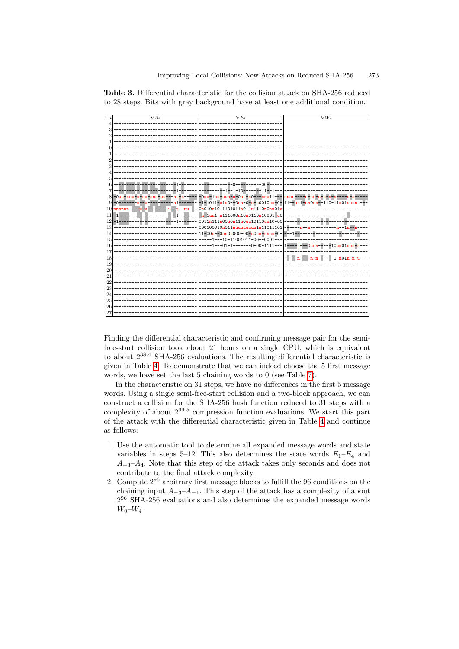|    | $\nabla A_i$ | $\nabla E_i$                                                 | $\nabla W_i$                          |
|----|--------------|--------------------------------------------------------------|---------------------------------------|
|    |              |                                                              |                                       |
|    |              |                                                              |                                       |
|    |              |                                                              |                                       |
|    |              |                                                              |                                       |
|    |              |                                                              |                                       |
|    |              |                                                              |                                       |
|    |              |                                                              |                                       |
|    |              |                                                              |                                       |
|    |              |                                                              |                                       |
|    |              |                                                              |                                       |
|    |              | $n -$                                                        |                                       |
|    |              | $-1 - 1 - 10 - - - - - 11 -$                                 |                                       |
| 8  | $-0uu-$      | -0uu-1nu-uun-u-0uu-n0---nnu11--- nnnu                        |                                       |
| 9  |              | $-1-1011-u1u0-0m-0-u-n0010uu-0-111-un1-un0mn-110-11u01uunnv$ |                                       |
| 10 |              | 0n010n1011101011n011u1110n0nu01u                             |                                       |
| 11 |              | $-n-1$ un1-n111000n10n0110n10001-u0                          |                                       |
| 12 |              | 0011n111n00u0n11u0uu10110uu10-00                             |                                       |
| 13 |              | 000100010n011nuuuuuuu1n11011101                              |                                       |
| 14 |              | 11-00u--0un0u000-00-u0nn-nnnu-0-                             |                                       |
| 15 |              | $-1 - 10 - 11001011 - 00 - 0001 -$                           |                                       |
| 16 |              | -01-1-------0-00-1111--- 1---                                | --0 <mark>uun-----10un01uun-</mark> 1 |
| 17 |              |                                                              |                                       |
| 18 |              |                                                              | $-n01n-$                              |
| 19 |              |                                                              |                                       |
| 20 |              |                                                              |                                       |
| 21 |              |                                                              |                                       |
| 22 |              |                                                              |                                       |
| 23 |              |                                                              |                                       |
| 24 |              |                                                              |                                       |
| 25 |              |                                                              |                                       |
| 26 |              |                                                              |                                       |
| 27 |              |                                                              |                                       |

<span id="page-11-0"></span>Table 3. Differential characteristic for the collision attack on SHA-256 reduced to 28 steps. Bits with gray background have at least one additional condition.

Finding the differential characteristic and confirming message pair for the semifree-start collision took about 21 hours on a single CPU, which is equivalent to about 2<sup>38</sup>.<sup>4</sup> SHA-256 evaluations. The resulting differential characteristic is given in Table 4. To demonstrate that we [can](#page-12-0) indeed choose the 5 first message words, we have set the last 5 chaining words to 0 (see Table 7).

In the characteristic on 31 steps, we have no differences in the first 5 message words. Using a single semi-free-start collision and a two-block approach, we can construct a collision for the SHA-256 hash function reduced to 31 steps with a complexity of about 2<sup>99</sup>.<sup>5</sup> compression function evaluations. We start this part of the attack with the differential characteristic given in Table 4 and continue as follows:

- 1. Use the automatic tool to determine all expanded message words and state variables in steps 5–12. This also determines the state words  $E_1-E_4$  and  $A_{-3}-A_4$ . Note that this step of the attack takes only seconds and does not contribute to the final attack complexity.
- 2. Compute 2<sup>96</sup> arbitrary first message blocks to fulfill the 96 conditions on the chaining input  $A_{-3}-A_{-1}$ . This step of the attack has a complexity of about 2 <sup>96</sup> SHA-256 evaluations and also determines the expanded message words  $W_0 - W_4$ .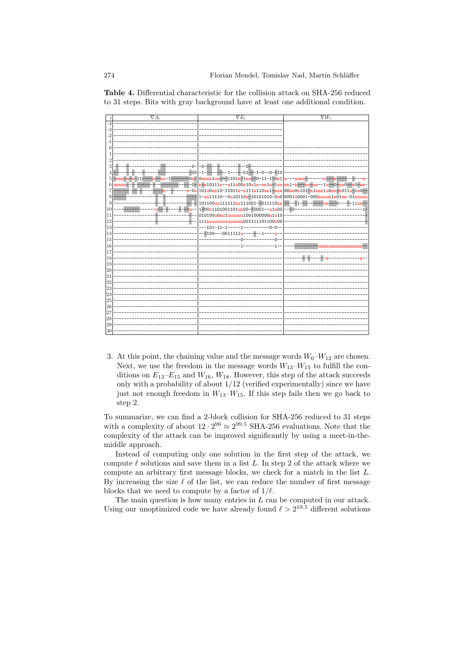

<span id="page-12-0"></span>Table 4. Differential characteristic for the collision attack on SHA-256 reduced to 31 steps. Bits with gray background have at least one additional condition.

3. At this point, the chaining value and the message words  $W_0-W_{12}$  are chosen. Next, we use the freedom in the message words  $W_{13}-W_{15}$  to fulfill the conditions on  $E_{13}-E_{15}$  and  $W_{16}$ ,  $W_{18}$ . However, this step of the attack succeeds only with a probability of about  $1/12$  (verified experimentally) since we have just not enough freedom in  $W_{13}-W_{15}$ . If this step fails then we go back to step 2.

To summarize, we can find a 2-block collision for SHA-256 reduced to 31 steps with a complexity of about  $12 \cdot 2^{96} \approx 2^{99.5}$  SHA-256 evaluations. Note that the complexity of the attack can be improved significantly by using a meet-in-themiddle approach.

Instead of computing only one solution in the first step of the attack, we compute  $\ell$  solutions and save them in a list L. In step 2 of the attack where we compute an arbitrary first message blocks, we check for a match in the list L. By increasing the size  $\ell$  of the list, we can reduce the number of first message blocks that we need to compute by a factor of  $1/\ell$ .

The main question is how many entries in  $L$  can be computed in our attack. Using our unoptimized code we have already found  $\ell > 2^{19.5}$  different solutions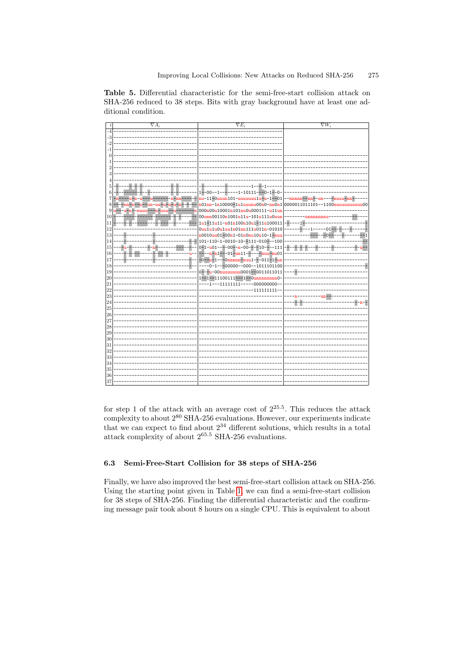$\overline{\nabla}F$  $\nabla W_i$  $-00$  $-1$  $-1 - 10111$  $-1 - 0$ <mark>u-11-0uuun101-uuuuuuu1u-u-1--</mark>01 101nn-1n10000<mark>-1u1uuunu00n0-nn0n1</mark>  $00000011011101 - 1100n$  $0<sup>1</sup>$ 000n00u10001n101nu0u000111-u11u 00unn00110n1001u11u-101u111u0uu  $\frac{1}{2}$ 1u1-11u11-n01n100n10u1-11u10001:  $\mathbf{1}$ uu1u1u0u1uu1n01nn111u011n-01010  $-01$ --- $-1$ 10010<mark>uu01-00n1-01n0nu10u10-1-nu</mark>  $\Box$ 101-110-1-0010-10--111-010---10 8-8-8-8- $\mathbf{1}$  $1($  $-0-1--00000--000--101110110$ İ١ ۱Ē. -<mark>-u-00nuuuuuuu0001--0011011011</mark>  $\begin{vmatrix} 20 \\ 21 \end{vmatrix}$  $1 - 1 - 11100111 - -1$  $mn0$  $-1$ ---11111111  $-000000000 |_{2}$  $-111111111$  $|_2$  $|_{24}$ - - $|25$  $\vert_{20}$  $|_2$  $\overline{2}$  $|29$ l30 l3  $\frac{1}{32}$  $\vert_{3}$  $\overline{3}$  $\overline{3}$ 

<span id="page-13-0"></span>Table 5. Differential characteristic for the semi-free-start collision attack on SHA-256 reduced to 38 steps. Bits with gray background have at least one additional condition.

for step 1 of the attack with an average cost of  $2^{25.5}$ . This reduces the attack complexity to about  $2^{80}$  SHA-256 evaluations. However, our experiments indicate that we can expect to find about  $2^{34}$  different solutions, which results in a total attack complexity of about  $2^{65.5}$  SHA-256 evaluations.

#### $6.3$ Semi-Free-Start Collision for 38 steps of SHA-256

Finally, we have also improved the best semi-free-start collision attack on SHA-256. Using the starting point given in Table 1, we can find a semi-free-start collision for 38 steps of SHA-256. Finding the differential characteristic and the confirming message pair took about 8 hours on a single CPU. This is equivalent to about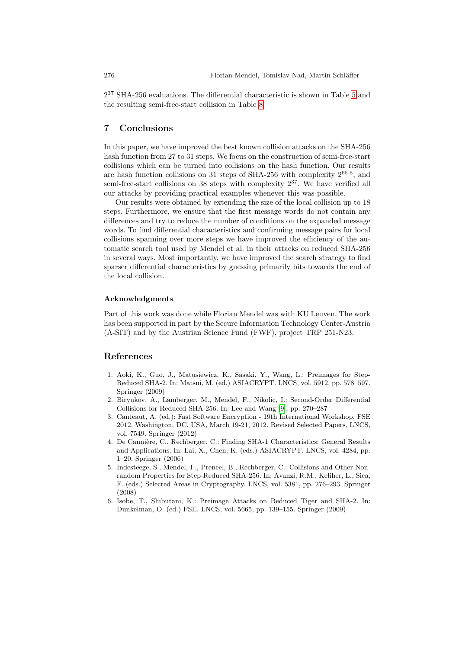<span id="page-14-4"></span>2 <sup>37</sup> SHA-256 evaluations. The differential characteristic is shown in Table 5 and the resulting semi-free-start collision in Table 8.

# 7 Conclusions

In this paper, we have improved the best known collision attacks on the SHA-256 hash function from 27 to 31 steps. We focus on the construction of semi-free-start collisions which can be turned into collisions on the hash function. Our results are hash function collisions on 31 steps of SHA-256 with complexity 265.<sup>5</sup> , and semi-free-start collisions on 38 steps with complexity  $2^{37}$ . We have verified all our attacks by providing practical examples whenever this was possible.

Our results were obtained by extending the size of the local collision up to 18 steps. Furthermore, we ensure that the first message words do not contain any differences and try to reduce the number of conditions on the expanded message words. To find differential characteristics and confirming message pairs for local collisions spanning over more steps we have improved the efficiency of the automatic search tool used by Mendel et al. in their attacks on reduced SHA-256 in several ways. Most importantly, we have improved the search strategy to find sparser differential characteristics by guessing primarily bits towards the end of the local collision.

#### Acknowledgments

<span id="page-14-1"></span>Part of this work was done while Florian Mendel was with KU Leuven. The work has been supported in part by the Secure Information Technology Center-Austria (A-SIT) and by the Austrian Science Fund (FWF), project TRP 251-N23.

#### <span id="page-14-5"></span><span id="page-14-2"></span>References

- 1. Aoki, K., Guo, J., Matusiewicz, K., Sasaki, Y., Wang, L.: Preimages for Step-Reduced SHA-2. In: Matsui, M. (ed.) ASIACRYPT. LNCS, vol. 5912, pp. 578–597. Springer (2009)
- 2. Biryukov, A., Lamberger, M., Mendel, F., Nikolic, I.: Second-Order Differential Collisions for Reduced SHA-256. In: Lee and Wang [9], pp. 270–287
- <span id="page-14-3"></span>3. Canteaut, A. (ed.): Fast Software Encryption - 19th International Workshop, FSE 2012, Washington, DC, USA, March 19-21, 2012. Revised Selected Papers, LNCS, vol. 7549. Springer (2012)
- <span id="page-14-0"></span>4. De Cannière, C., Rechberger, C.: Finding SHA-1 Characteristics: General Results and Applications. In: Lai, X., Chen, K. (eds.) ASIACRYPT. LNCS, vol. 4284, pp. 1–20. Springer (2006)
- 5. Indesteege, S., Mendel, F., Preneel, B., Rechberger, C.: Collisions and Other Nonrandom Properties for Step-Reduced SHA-256. In: Avanzi, R.M., Keliher, L., Sica, F. (eds.) Selected Areas in Cryptography. LNCS, vol. 5381, pp. 276–293. Springer (2008)
- 6. Isobe, T., Shibutani, K.: Preimage Attacks on Reduced Tiger and SHA-2. In: Dunkelman, O. (ed.) FSE. LNCS, vol. 5665, pp. 139–155. Springer (2009)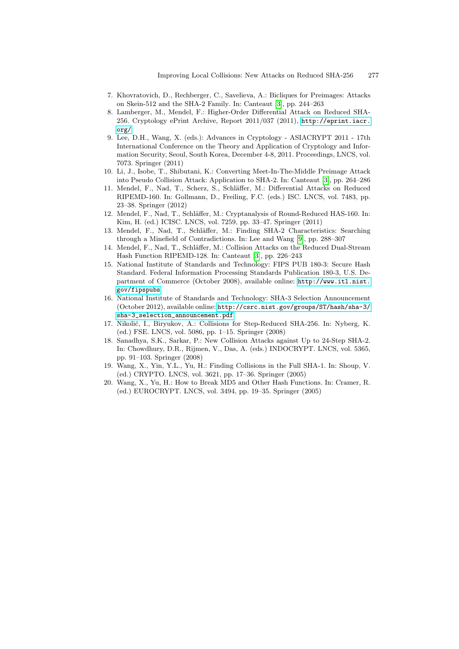- <span id="page-15-9"></span><span id="page-15-4"></span><span id="page-15-2"></span>7. Khovratovich, D., Rechberger, C., Savelieva, A.: Bicliques for Preimages: Attacks on Skein-512 and the SHA-2 Family. In: Canteaut [3], pp. 244–263
- <span id="page-15-3"></span>8. Lamberger, M., Mendel, F.: Higher-Order Differential Attack on Reduced SHA-256. Cryptology ePrint Archive, Report 2[011](#page-14-5)/037 (2011), http://eprint.iacr. org/
- 9. Lee, D.H., Wang, X. (eds.): Advances in Cryptology ASIACRYPT 2011 17th International Conference on the Theory and Application of Cryptology and Information Security, Seoul, South Korea, December 4-8, 2011. Proceedings, LNCS, vol. 7073. Springer (2011)
- <span id="page-15-6"></span>10. Li, J., Isobe, T., Shibutani, K.: Converting Meet-In-The-Middle Preimage Attack into Pseudo Collision Attack: Application to SHA-2. In: Canteaut [3], pp. 264–286
- 11. Mendel, F., Nad, T., [Sch](#page-15-9)erz, S., Schläffer, M.: Differential Attacks on Reduced RIPEMD-160. In: Gollmann, D., Freiling, F.C. (eds.) ISC. LNCS, vol. 7483, pp. 23–38. Springer (201[2\)](#page-14-5)
- <span id="page-15-5"></span>12. Mendel, F., Nad, T., Schläffer, M.: Cryptanalysis of Round-Reduced HAS-160. In: Kim, H. (ed.) ICISC. LNCS, vol. 7259, pp. 33–47. Springer (2011)
- 13. Mendel, F., Nad, T., Schläffer, [M.: Finding SHA-2 Cha](http://www.itl.nist.gov/fipspubs)racteristics: Searching through a Minefield of Contradictions. In: Lee and Wang [9], pp. 288–307
- 14. Mendel, F., Nad, T., Schläffer, M.: Collision Attacks on the Reduced Dual-Stream Hash Fu[nction RIPEMD-128. In: Canteaut \[3\], pp. 226–243](http://csrc.nist.gov/groups/ST/hash/sha-3/sha-3_selection_announcement.pdf)
- <span id="page-15-7"></span>15. [National Institu](http://csrc.nist.gov/groups/ST/hash/sha-3/sha-3_selection_announcement.pdf)te of Standards and Technology: FIPS PUB 180-3: Secure Hash Standard. Federal Information Processing Standards Publication 180-3, U.S. Department of Commerce (October 2008), available online: http://www.itl.nist. gov/fipspubs
- <span id="page-15-8"></span>16. National Institute of Standards and Technology: SHA-3 Selection Announcement (October 2012), available online: http://csrc.nist.gov/groups/ST/hash/sha-3/ sha-3\_selection\_announcement.pdf
- <span id="page-15-1"></span><span id="page-15-0"></span>17. Nikolić, I., Biryukov, A.: Collisions for Step-Reduced SHA-256. In: Nyberg, K. (ed.) FSE. LNCS, vol. 5086, pp. 1–15. Springer (2008)
- 18. Sanadhya, S.K., Sarkar, P.: New Collision Attacks against Up to 24-Step SHA-2. In: Chowdhury, D.R., Rijmen, V., Das, A. (eds.) INDOCRYPT. LNCS, vol. 5365, pp. 91–103. Springer (2008)
- 19. Wang, X., Yin, Y.L., Yu, H.: Finding Collisions in the Full SHA-1. In: Shoup, V. (ed.) CRYPTO. LNCS, vol. 3621, pp. 17–36. Springer (2005)
- 20. Wang, X., Yu, H.: How to Break MD5 and Other Hash Functions. In: Cramer, R. (ed.) EUROCRYPT. LNCS, vol. 3494, pp. 19–35. Springer (2005)